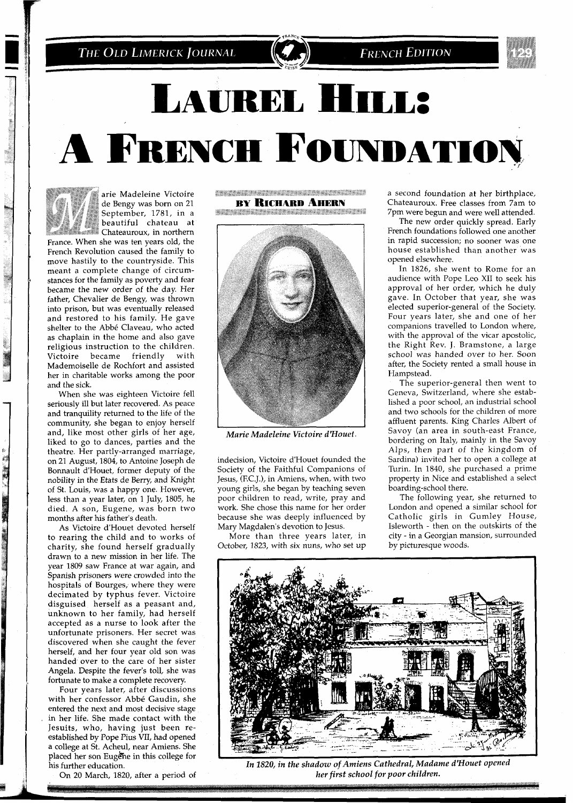THE OLD LIMERICK JOURNAL



## LAUREL HILL: A FRENCH FOUNDATION

ļ

arie Madeleine Victoire de Bengy was born on 21 September, 1781, in a beautiful chateau at Chateauroux, in northern France. When she was ten years old, the French Revolution caused the famlly to

move hastily to the countryside. This meant a complete change of circumstances for the family as poverty and fear became the new order of the day. Her father, Chevalier de Bengy, was thrown Into prison, but was eventually released and restored to his family. He gave shelter to the Abbé Claveau, who acted as chaplain in the home and also gave religious instruction to the children. Victoire became friendly with Mademoiselle de Rochfort and asslsted her in charitable works among the poor and the sick.

When she was eighteen Victoire fell seriously ill but later recovered. As peace and tranqullity returned to the life of the community, she began to enjoy herself and, like most other girls of her age, liked to go to dances, parties and the theatre. Her partly-arranged marriage, on 21 August, 1804, to Antoine Joseph de Bonnault d'Houet, former deputy of the nobility in the Etats de Berry, and Knight of St. Louis, was a happy one. However, less than a year later, on 1 July, 1805, he died. A son, Eugene, was born two months after his father's death.

As Victoire d'Houet devoted herself to rearing the child and to works of charity, she found herself gradually drawn to a new mission in her life. The year 1809 saw France at war again, and Spanish prisoners were crowded into the hospitals of Bourges, where they were decimated by typhus fever. Victoire disguised herself as a peasant and, unknown to her family, had herself accepted as a nurse to look after the unfortunate prisoners. Her secret was discovered when she caught the fever herself, and her four year-old son was handed over to the care of her sister Angela. Despite the fever's toll, she was fortunate to make a complete recovery.

Four years later, after discussions with her confessor Abbé Gaudin, she entered the next and most decisive stage in her life. She made contact with the Jesuits, who, having just been reestablished by Pope Pius VII, had opened a college at St. Acheul, near Amiens. She placed her son Eugene in this college for his further education.

On 20 March, 1820, after a period of

**CONSTRUCTION CONTINUES IN A SERVICE BY RICHARD AHERN** 

<u>saman amatan san san sa sa sa sa</u>



*Marie Madeleine Victoire drHouei.* 

indecision, Victoire d'Houet founded the Society of the Faithful Companions of Jesus, (F.C.J.), in Amiens, when, with two young girls, she began by teaching seven poor children to read, write, pray and work. She chose this name for her order because she was deeply influenced by Mary Magdalen's devotion to Jesus.

More than three years later, in October, 1823, with six nuns, who set up a second foundation at her birthplace, Chateauroux. Free classes from 7am to 7pm were begun and were well attended.

The new order quickly spread. Early French foundations followed one another in rapid succession; no sooner was one house established than another was opened elsewhere.

In 1826, she went to Rome for an audience with Pope Leo XI1 to seek his approval of her order, which he duly gave. In October that year, she was elected superior-general of the Society. Four years later, she and one of her companions travelled to London where, with the approval of the vicar apostolic, the Right Rev. J. Bramstone, a large school was handed over to her. Soon after, the Society rented a small house in Hampstead.

The superior-general then went to Geneva, Switzerland, where she established a poor school, an industrial school and two schools for the children of more affluent parents. King Charles Albert of Savoy (an area in south-east France, bordering on Italy, mainly in the Savoy Alps, then part of the kingdom of Sardina) invited her to open a college at Turin. In 1840, she purchased a prime property in Nice and established a select boarding-school there.

The following year, she returned to London and opened a similar school for Catholic girls in Gumley House, Isleworth - then on the outskirts of the city - in a Georgian mansion, surrounded by picturesque woods.



In 1820, in the shadow of Amiens Cathedral, Madame d'Houet opened her first school for poor children.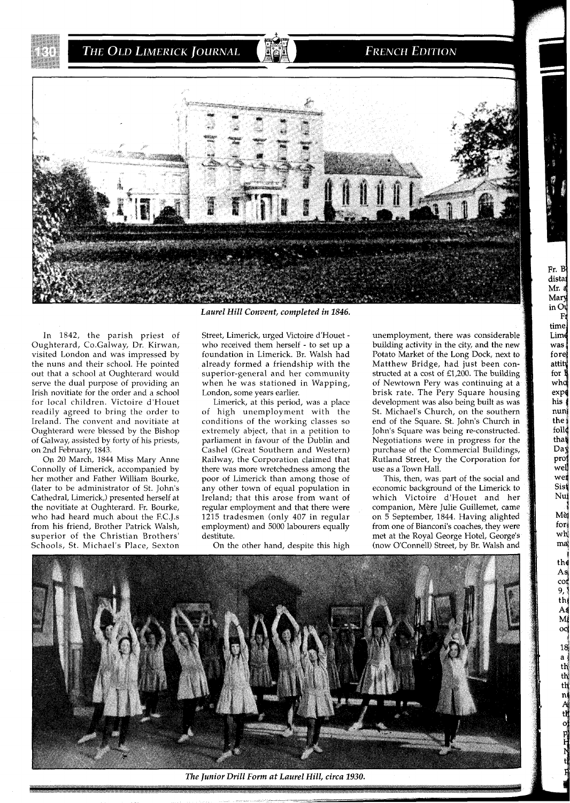THE OLD LIMERICK JOURNAL

## **FRENCH EDITION**



In 1842, the parish priest of Oughterard, Co.Galway, Dr. Kirwan, visited London and was impressed by the nuns and their school. He pointed out that a school at Oughterard would serve the dual purpose of providing an Irish novitiate for the order and a school for local children. Victoire d'Houet readily agreed to bring the order to Ireland. The convent and novitiate at Oughterard were blessed by the Bishop of Galway, assisted by forty of his priests, on 2nd February, 1843.

On 20 March, 1844 Miss Mary Anne Connolly of Limerick, accompanied by her mother and Father William Bourke, (later to be administrator of St. John's Cathedral, Limerick,) presented herself at the novitiate at Oughterard. Fr. Bourke, who had heard much about the F.C.J.s from his friend, Brother Patrick Walsh, superior of the Christian Brothers' Schools, St. Michael's Place, Sexton

*Laurel Hill Convent, completed in 1846.* 

Street, Limerick, urged Victoire d'Houet who received them herself - to set up a foundation in Limerick. Br. Walsh had already formed a friendship with the superior-general and her community when he was stationed in Wapping, London, some years earlier.

Limerick, at this period, was a place of high unemployment with the conditions of the working classes so extremely abject, that in a petition to parliament in favour of the Dublin and Cashel (Great Southern and Western) Railway, the Corporation claimed that there was more wretchedness among the poor of Limerick than among those of any other town of equal population in Ireland; that this arose from want of regular employment and that there were 1215 tradesmen (only 407 in regular employment) and 5000 labourers equally destitute.

On the other hand, despite this high

unemployment, there was considerable building activity in the city, and the new Potato Market of the Long Dock, next to Matthew Bridge, had just been constructed at a cost of £1,200. The building of Newtown Pery was continuing at a brisk rate. The Pery Square housing development was also being built as was St. Michael's Church, on the southern end of the Square. St. John's Church in John's Square was being re-constructed. Negotiations were in progress for the purchase of the Commercial Buildings, Rutland Street, by the Corporation for use as a Town Hall.

his nun1

the follo that Day pro wel wei Sist Nu, Mej

Fr. B distat Mr. a Mary  $in$   $O<sub>1</sub>$  $F<sub>1</sub>$ time Lime was fore attity for 1 who expo

> **forj**  wh mq **1**

> > As coi 9, th A٤  $\overline{\mathbf{M}}$

> > > $18$  $\mathbf{a}$ th th th  $\frac{n}{A}$ tŔ

This, then, was part of the social and economic background of the Limerick to which Victoire d'Houet and her companion, Mere Julie Guillemet, came on 5 September, 1844. Having alighted from one of Bianconi's coaches, they were met at the Royal George Hotel, George's (now O'Connell) Street, by Br. Walsh and



*The Junior Drill Form at Laurel Hill, circa 1930.*